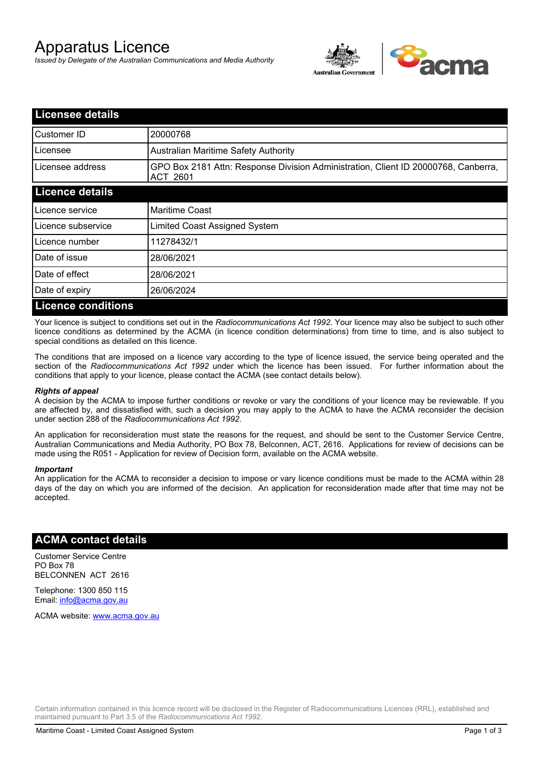# Apparatus Licence

*Issued by Delegate of the Australian Communications and Media Authority*



| <b>Licensee details</b>   |                                                                                                       |  |  |
|---------------------------|-------------------------------------------------------------------------------------------------------|--|--|
| Customer ID               | 20000768                                                                                              |  |  |
| Licensee                  | <b>Australian Maritime Safety Authority</b>                                                           |  |  |
| Licensee address          | GPO Box 2181 Attn: Response Division Administration, Client ID 20000768, Canberra,<br><b>ACT 2601</b> |  |  |
| <b>Licence details</b>    |                                                                                                       |  |  |
| Licence service           | <b>Maritime Coast</b>                                                                                 |  |  |
| Licence subservice        | Limited Coast Assigned System                                                                         |  |  |
| Licence number            | 11278432/1                                                                                            |  |  |
| Date of issue             | 28/06/2021                                                                                            |  |  |
| Date of effect            | 28/06/2021                                                                                            |  |  |
| Date of expiry            | 26/06/2024                                                                                            |  |  |
| <b>Licence conditions</b> |                                                                                                       |  |  |

Your licence is subject to conditions set out in the *Radiocommunications Act 1992*. Your licence may also be subject to such other licence conditions as determined by the ACMA (in licence condition determinations) from time to time, and is also subject to special conditions as detailed on this licence.

The conditions that are imposed on a licence vary according to the type of licence issued, the service being operated and the section of the *Radiocommunications Act 1992* under which the licence has been issued. For further information about the conditions that apply to your licence, please contact the ACMA (see contact details below).

#### *Rights of appeal*

A decision by the ACMA to impose further conditions or revoke or vary the conditions of your licence may be reviewable. If you are affected by, and dissatisfied with, such a decision you may apply to the ACMA to have the ACMA reconsider the decision under section 288 of the *Radiocommunications Act 1992*.

An application for reconsideration must state the reasons for the request, and should be sent to the Customer Service Centre, Australian Communications and Media Authority, PO Box 78, Belconnen, ACT, 2616. Applications for review of decisions can be made using the R051 - Application for review of Decision form, available on the ACMA website.

#### *Important*

An application for the ACMA to reconsider a decision to impose or vary licence conditions must be made to the ACMA within 28 days of the day on which you are informed of the decision. An application for reconsideration made after that time may not be accepted.

#### **ACMA contact details**

Customer Service Centre PO Box 78 BELCONNEN ACT 2616

Telephone: 1300 850 115 Email: info@acma.gov.au

ACMA website: www.acma.gov.au

Certain information contained in this licence record will be disclosed in the Register of Radiocommunications Licences (RRL), established and maintained pursuant to Part 3.5 of the *Radiocommunications Act 1992.*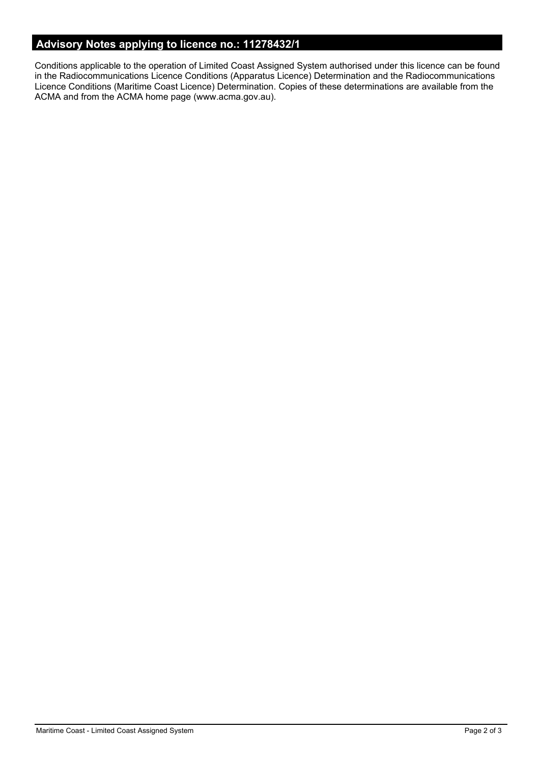## **Advisory Notes applying to licence no.: 11278432/1**

Conditions applicable to the operation of Limited Coast Assigned System authorised under this licence can be found in the Radiocommunications Licence Conditions (Apparatus Licence) Determination and the Radiocommunications Licence Conditions (Maritime Coast Licence) Determination. Copies of these determinations are available from the ACMA and from the ACMA home page (www.acma.gov.au).